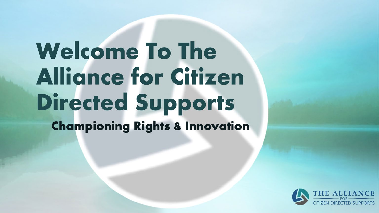# **Welcome To The Alliance for Citizen Directed Supports**

**Championing Rights & Innovation** 

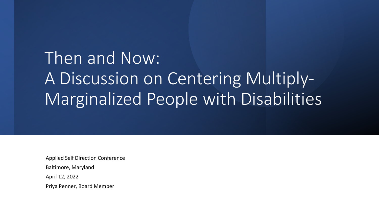### Then and Now: A Discussion on Centering Multiply-Marginalized People with Disabilities

Applied Self Direction Conference

Baltimore, Maryland

April 12, 2022

Priya Penner, Board Member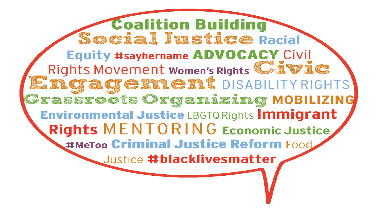**Coalition Building** Social Justice Racial Equity #sayhername ADVOCACY Civil Rights Movement women's Rights Civic Engagement DISABILITY RIGHTS **Grassroots Organizing MOBILIZING** Environmental Justice LBGTQ Rights Immigrant **Rights MENTORING Economic Justice** #MeToo Criminal Justice Reform Food Justice #blacklivesmatter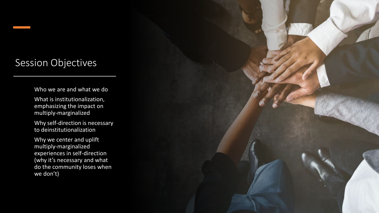#### Session Objectives

Who we are and what we do

• What is institutionalization, emphasizing the impact on multiply-marginalized

Why self-direction is necessary to deinstitutionalization

• Why we center and uplift multiply-marginalized experiences in self-direction (why it's necessary and what do the community loses when we don't)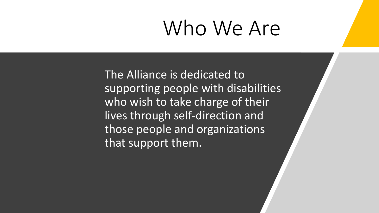### Who We Are

The Alliance is dedicated to supporting people with disabilities who wish to take charge of their lives through self-direction and those people and organizations that support them.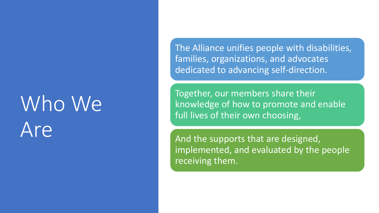## Who We Are

The Alliance unifies people with disabilities, families, organizations, and advocates dedicated to advancing self -direction.

Together, our members share their knowledge of how to promote and enable full lives of their own choosing,

And the supports that are designed, implemented, and evaluated by the people receiving them.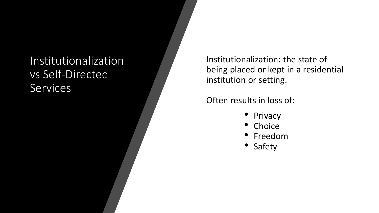#### **Institutionalization** vs Self -Directed **Services**

Institutionalization: the state of being placed or kept in a residential institution or setting.

Often results in loss of:

- 
- 
- Privacy<br>• Choice<br>• Freedom<br>• Safety
-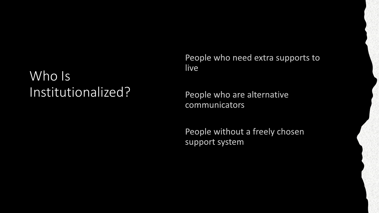#### Who Is Institutionalized?

People who need extra supports to live

People who are alternative communicators

People without a freely chosen support system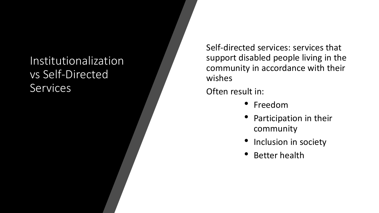#### Institutionalization vs Self-Directed **Services**

Self-directed services: services that support disabled people living in the community in accordance with their wishes

Often result in:

- Freedom
- Participation in their community
- Inclusion in society
- Better health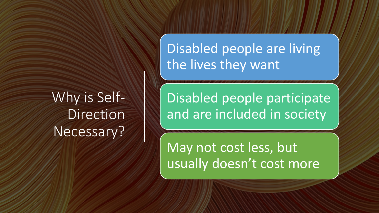Why is Self-Direction Necessary?

Disabled people are living the lives they want

Disabled people participate and are included in society

May not cost less, but usually doesn't cost more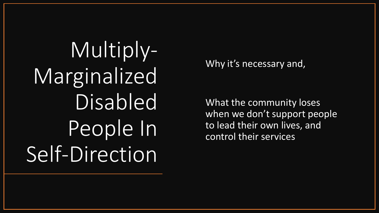Multiply-Marginalized Disabled People In Self-Direction

Why it's necessary and,

What the community loses when we don't support people to lead their own lives, and control their services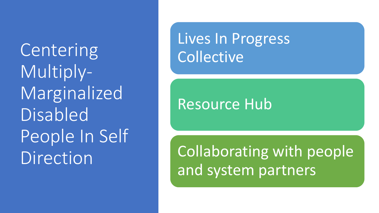**Centering** Multiply-Marginalized **Disabled** People In Self Direction

Lives In Progress **Collective** 

Resource Hub

Collaborating with people and system partners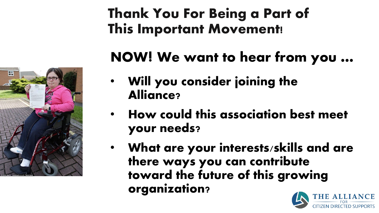

#### **Thank You For Being a Part of This Important Movement!**

### **NOW! We want to hear from you …**

- **Will you consider joining the Alliance?**
- **How could this association best meet your needs?**
- **What are your interests/skills and are there ways you can contribute toward the future of this growing organization?**